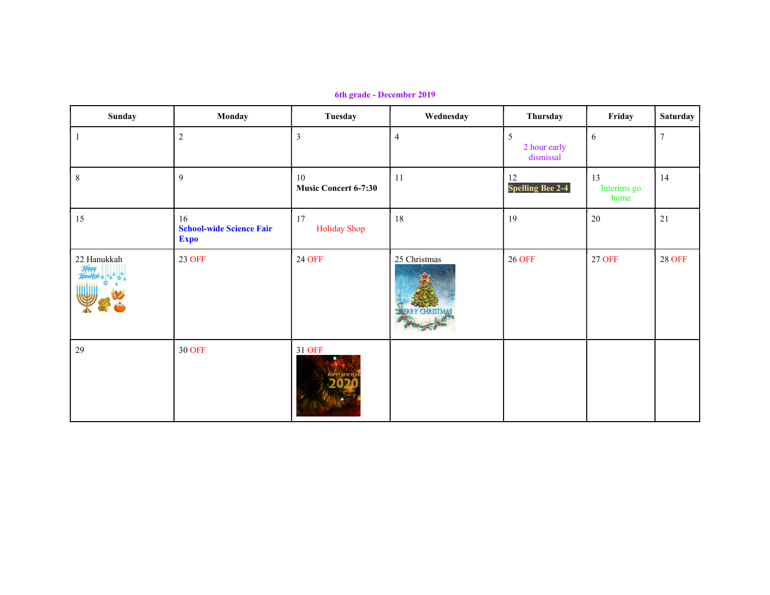6th grade - December 2019

| Sunday      | Monday                                               | Tuesday                           | Wednesday      | Thursday                       | Friday                    | <b>Saturday</b> |
|-------------|------------------------------------------------------|-----------------------------------|----------------|--------------------------------|---------------------------|-----------------|
|             | $\sqrt{2}$                                           | 3                                 | $\overline{4}$ | 5<br>2 hour early<br>dismissal | $\sqrt{6}$                | $\overline{7}$  |
| $\,8\,$     | $\overline{9}$                                       | 10<br><b>Music Concert 6-7:30</b> | 11             | 12<br><b>Spelling Bee 2-4</b>  | 13<br>Interims go<br>home | 14              |
| 15          | 16<br><b>School-wide Science Fair</b><br><b>Expo</b> | 17<br>Holiday Shop                | 18             | 19                             | 20                        | 21              |
| 22 Hanukkah | <b>23 OFF</b>                                        | <b>24 OFF</b>                     | 25 Christmas   | <b>26 OFF</b>                  | 27 OFF                    | <b>28 OFF</b>   |
| 29          | <b>30 OFF</b>                                        | 31 OFF                            |                |                                |                           |                 |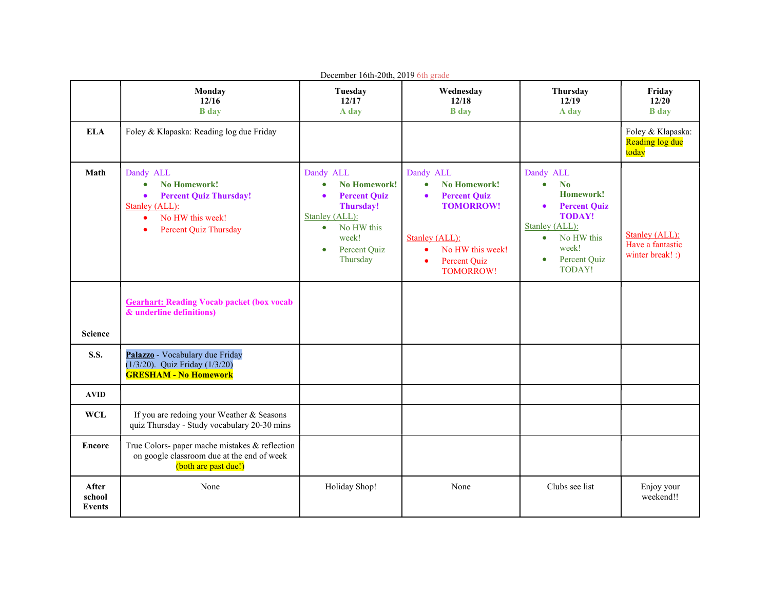| December 16th-20th, 2019 6th grade |                                                                                                                                                                                             |                                                                                                                                                                     |                                                                                                                                                                                             |                                                                                                                                                                                             |                                                        |  |  |  |
|------------------------------------|---------------------------------------------------------------------------------------------------------------------------------------------------------------------------------------------|---------------------------------------------------------------------------------------------------------------------------------------------------------------------|---------------------------------------------------------------------------------------------------------------------------------------------------------------------------------------------|---------------------------------------------------------------------------------------------------------------------------------------------------------------------------------------------|--------------------------------------------------------|--|--|--|
|                                    | Monday<br>12/16<br><b>B</b> day                                                                                                                                                             | Tuesday<br>12/17<br>A day                                                                                                                                           | Wednesday<br>12/18<br><b>B</b> day                                                                                                                                                          | Thursday<br>12/19<br>A day                                                                                                                                                                  | Friday<br>12/20<br><b>B</b> day                        |  |  |  |
| <b>ELA</b>                         | Foley & Klapaska: Reading log due Friday                                                                                                                                                    |                                                                                                                                                                     |                                                                                                                                                                                             |                                                                                                                                                                                             | Foley & Klapaska:<br>Reading log due<br>today          |  |  |  |
| Math                               | Dandy ALL<br><b>No Homework!</b><br>$\bullet$<br><b>Percent Quiz Thursday!</b><br>$\bullet$<br>Stanley (ALL):<br>No HW this week!<br>$\bullet$<br><b>Percent Quiz Thursday</b><br>$\bullet$ | Dandy ALL<br><b>No Homework!</b><br><b>Percent Quiz</b><br>Thursday!<br>Stanley (ALL):<br>No HW this<br>$\bullet$<br>week!<br>Percent Quiz<br>$\bullet$<br>Thursday | Dandy ALL<br><b>No Homework!</b><br>$\bullet$<br><b>Percent Quiz</b><br><b>TOMORROW!</b><br>Stanley (ALL):<br>No HW this week!<br>$\bullet$<br><b>Percent Quiz</b><br>٠<br><b>TOMORROW!</b> | Dandy ALL<br>No<br>$\bullet$<br>Homework!<br><b>Percent Quiz</b><br>$\bullet$<br><b>TODAY!</b><br>Stanley (ALL):<br>No HW this<br>$\bullet$<br>week!<br>Percent Quiz<br>$\bullet$<br>TODAY! | Stanley (ALL):<br>Have a fantastic<br>winter break! :) |  |  |  |
| <b>Science</b>                     | <b>Gearhart: Reading Vocab packet (box vocab)</b><br>& underline definitions)                                                                                                               |                                                                                                                                                                     |                                                                                                                                                                                             |                                                                                                                                                                                             |                                                        |  |  |  |
| <b>S.S.</b>                        | Palazzo - Vocabulary due Friday<br>(1/3/20). Quiz Friday (1/3/20)<br><b>GRESHAM - No Homework</b>                                                                                           |                                                                                                                                                                     |                                                                                                                                                                                             |                                                                                                                                                                                             |                                                        |  |  |  |
| <b>AVID</b>                        |                                                                                                                                                                                             |                                                                                                                                                                     |                                                                                                                                                                                             |                                                                                                                                                                                             |                                                        |  |  |  |
| <b>WCL</b>                         | If you are redoing your Weather & Seasons<br>quiz Thursday - Study vocabulary 20-30 mins                                                                                                    |                                                                                                                                                                     |                                                                                                                                                                                             |                                                                                                                                                                                             |                                                        |  |  |  |
| <b>Encore</b>                      | True Colors- paper mache mistakes & reflection<br>on google classroom due at the end of week<br>(both are past due!)                                                                        |                                                                                                                                                                     |                                                                                                                                                                                             |                                                                                                                                                                                             |                                                        |  |  |  |
| <b>After</b><br>school<br>Events   | None                                                                                                                                                                                        | Holiday Shop!                                                                                                                                                       | None                                                                                                                                                                                        | Clubs see list                                                                                                                                                                              | Enjoy your<br>weekend!!                                |  |  |  |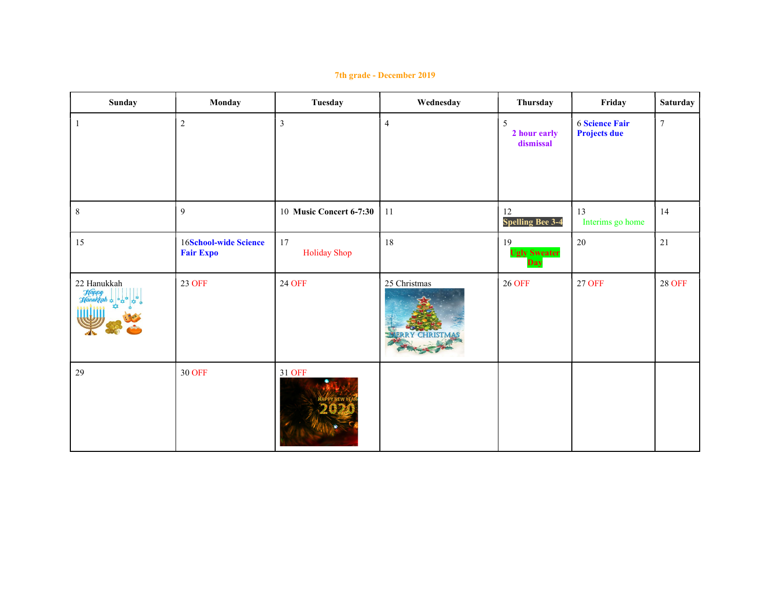| Sunday              | Monday                                           | Tuesday                 | Wednesday                      | Thursday                         | Friday                                       | <b>Saturday</b> |
|---------------------|--------------------------------------------------|-------------------------|--------------------------------|----------------------------------|----------------------------------------------|-----------------|
|                     | $\sqrt{2}$                                       | $\mathfrak{Z}$          | $\overline{4}$                 | 5<br>2 hour early<br>dismissal   | <b>6 Science Fair</b><br><b>Projects due</b> | $\tau$          |
| $8\,$               | 9                                                | 10 Music Concert 6-7:30 | 11                             | 12<br><b>Spelling Bee 3-4</b>    | 13<br>Interims go home                       | 14              |
| 15                  | <b>16School-wide Science</b><br><b>Fair Expo</b> | 17<br>Holiday Shop      | 18                             | 19<br><b>Ugly Sweater</b><br>Day | 20                                           | $21\,$          |
| 22 Hanukkah<br>Happ | <b>23 OFF</b>                                    | <b>24 OFF</b>           | 25 Christmas<br><b>TRISTMA</b> | <b>26 OFF</b>                    | <b>27 OFF</b>                                | <b>28 OFF</b>   |
| 29                  | <b>30 OFF</b>                                    | 31 OFF                  |                                |                                  |                                              |                 |

## 7th grade - December 2019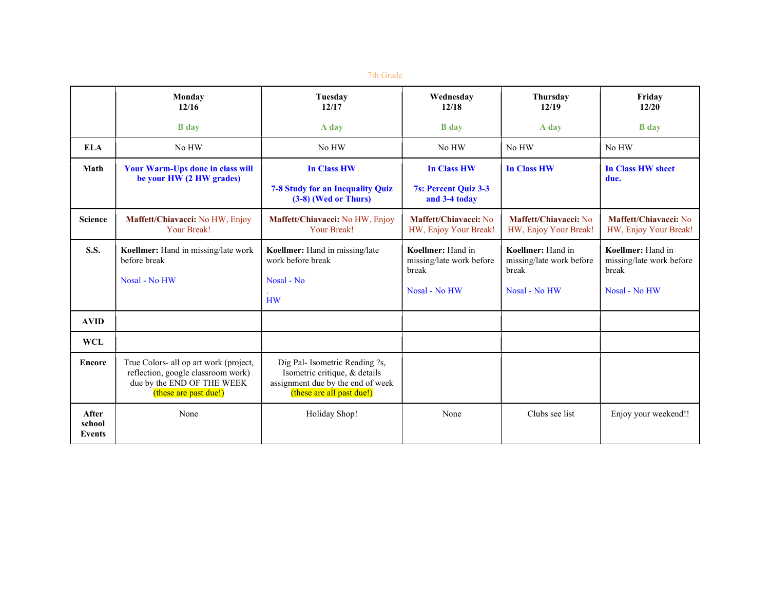## 7th Grade

|                                  | Monday<br>12/16                                                                                                                     | Tuesday<br>12/17                                                                                                                  | Wednesdav<br>12/18                                                      | Thursdav<br>12/19                                                       | Friday<br>12/20                                                         |
|----------------------------------|-------------------------------------------------------------------------------------------------------------------------------------|-----------------------------------------------------------------------------------------------------------------------------------|-------------------------------------------------------------------------|-------------------------------------------------------------------------|-------------------------------------------------------------------------|
|                                  | <b>B</b> day                                                                                                                        | A day                                                                                                                             | <b>B</b> day                                                            | A day                                                                   | <b>B</b> day                                                            |
| <b>ELA</b>                       | No HW                                                                                                                               | No HW                                                                                                                             | No HW                                                                   | No HW                                                                   | No HW                                                                   |
| Math                             | <b>Your Warm-Ups done in class will</b><br>be your HW (2 HW grades)                                                                 | <b>In Class HW</b><br>7-8 Study for an Inequality Quiz<br>(3-8) (Wed or Thurs)                                                    | <b>In Class HW</b><br>7s: Percent Quiz 3-3<br>and 3-4 today             | <b>In Class HW</b>                                                      | <b>In Class HW sheet</b><br>due.                                        |
| <b>Science</b>                   | Maffett/Chiavacci: No HW, Enjoy<br>Your Break!                                                                                      | Maffett/Chiavacci: No HW, Enjoy<br>Your Break!                                                                                    | Maffett/Chiavacci: No<br>HW, Enjoy Your Break!                          | Maffett/Chiavacci: No<br>HW, Enjoy Your Break!                          | Maffett/Chiavacci: No<br>HW, Enjoy Your Break!                          |
| <b>S.S.</b>                      | Koellmer: Hand in missing/late work<br>before break<br>Nosal - No HW                                                                | Koellmer: Hand in missing/late<br>work before break<br>Nosal - No<br><b>HW</b>                                                    | Koellmer: Hand in<br>missing/late work before<br>break<br>Nosal - No HW | Koellmer: Hand in<br>missing/late work before<br>break<br>Nosal - No HW | Koellmer: Hand in<br>missing/late work before<br>break<br>Nosal - No HW |
| <b>AVID</b>                      |                                                                                                                                     |                                                                                                                                   |                                                                         |                                                                         |                                                                         |
| <b>WCL</b>                       |                                                                                                                                     |                                                                                                                                   |                                                                         |                                                                         |                                                                         |
| <b>Encore</b>                    | True Colors- all op art work (project,<br>reflection, google classroom work)<br>due by the END OF THE WEEK<br>(these are past due!) | Dig Pal- Isometric Reading ?s,<br>Isometric critique, & details<br>assignment due by the end of week<br>(these are all past due!) |                                                                         |                                                                         |                                                                         |
| After<br>school<br><b>Events</b> | None                                                                                                                                | Holiday Shop!                                                                                                                     | None                                                                    | Clubs see list                                                          | Enjoy your weekend!!                                                    |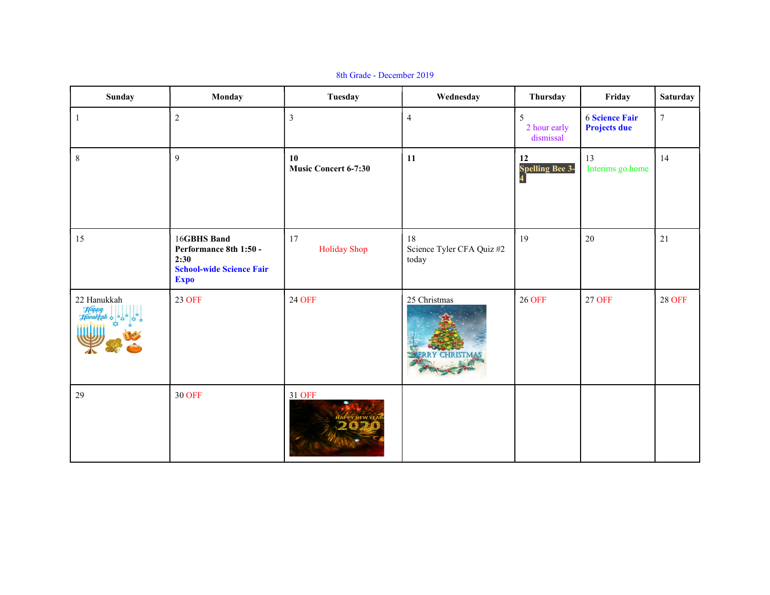| Sunday      | Monday                                                                                          | Tuesday                           | Wednesday                                | Thursday                       | Friday                                       | <b>Saturday</b> |
|-------------|-------------------------------------------------------------------------------------------------|-----------------------------------|------------------------------------------|--------------------------------|----------------------------------------------|-----------------|
| $\vert$ 1   | $\sqrt{2}$                                                                                      | $\mathfrak{Z}$                    | $\overline{4}$                           | 5<br>2 hour early<br>dismissal | <b>6 Science Fair</b><br><b>Projects due</b> | $\tau$          |
| $8\,$       | 9                                                                                               | 10<br><b>Music Concert 6-7:30</b> | 11                                       | 12<br><b>Spelling Bee 3-</b>   | 13<br>Interims go home                       | 14              |
| 15          | 16GBHS Band<br>Performance 8th 1:50 -<br>2:30<br><b>School-wide Science Fair</b><br><b>Expo</b> | 17<br><b>Holiday Shop</b>         | 18<br>Science Tyler CFA Quiz #2<br>today | 19                             | $20\,$                                       | 21              |
| 22 Hanukkah | 23 OFF                                                                                          | <b>24 OFF</b>                     | 25 Christmas<br><b>RRY CHRISTMA</b>      | <b>26 OFF</b>                  | <b>27 OFF</b>                                | <b>28 OFF</b>   |
| 29          | <b>30 OFF</b>                                                                                   | 31 OFF                            |                                          |                                |                                              |                 |

8th Grade - December 2019